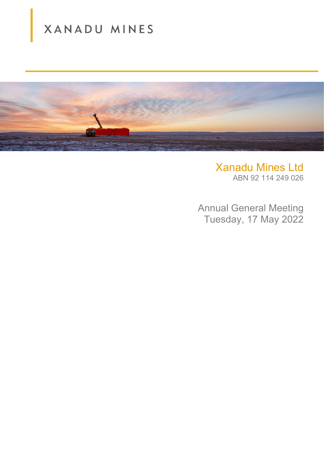# XANADU MINES



Xanadu Mines Ltd ABN 92 114 249 026

Annual General Meeting Tuesday, 17 May 2022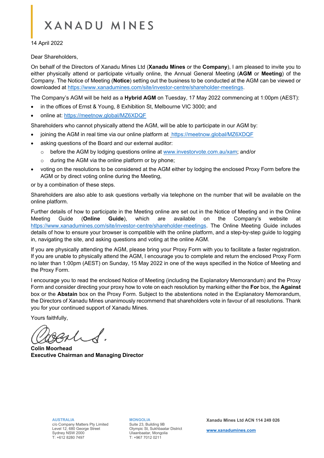# **XANADU MINES**

14 April 2022

Dear Shareholders,

On behalf of the Directors of Xanadu Mines Ltd (**Xanadu Mines** or the **Company**), I am pleased to invite you to either physically attend or participate virtually online, the Annual General Meeting (**AGM** or **Meeting**) of the Company. The Notice of Meeting (**Notice**) setting out the business to be conducted at the AGM can be viewed or downloaded at [https://www.xanadumines.com/site/investor-centre/shareholder-meetings.](https://www.xanadumines.com/site/investor-centre/shareholder-meetings)

The Company's AGM will be held as a **Hybrid AGM** on Tuesday, 17 May 2022 commencing at 1:00pm (AEST):

- in the offices of Ernst & Young, 8 Exhibition St, Melbourne VIC 3000; and
- online at: <https://meetnow.global/MZ6XDQF>

Shareholders who cannot physically attend the AGM, will be able to participate in our AGM by:

- joining the AGM in real time via our online platform at <https://meetnow.global/MZ6XDQF>
- asking questions of the Board and our external auditor:
	- o before the AGM by lodging questions online at [www.investorvote.com.au/xam;](http://www.investorvote.com.au/xam) and/or
	- $\circ$  during the AGM via the online platform or by phone;
- voting on the resolutions to be considered at the AGM either by lodging the enclosed Proxy Form before the AGM or by direct voting online during the Meeting,

or by a combination of these steps.

Shareholders are also able to ask questions verbally via telephone on the number that will be available on the online platform.

Further details of how to participate in the Meeting online are set out in the Notice of Meeting and in the Online Meeting Guide (**Online Guide**), which are available on the Company's website at [https://www.xanadumines.com/site/investor-centre/shareholder-meetings.](https://www.xanadumines.com/site/investor-centre/shareholder-meetings) The Online Meeting Guide includes details of how to ensure your browser is compatible with the online platform, and a step-by-step guide to logging in, navigating the site, and asking questions and voting at the online AGM.

If you are physically attending the AGM, please bring your Proxy Form with you to facilitate a faster registration. If you are unable to physically attend the AGM, I encourage you to complete and return the enclosed Proxy Form no later than 1:00pm (AEST) on Sunday, 15 May 2022 in one of the ways specified in the Notice of Meeting and the Proxy Form.

I encourage you to read the enclosed Notice of Meeting (including the Explanatory Memorandum) and the Proxy Form and consider directing your proxy how to vote on each resolution by marking either the **For** box, the **Against** box or the **Abstain** box on the Proxy Form. Subject to the abstentions noted in the Explanatory Memorandum, the Directors of Xanadu Mines unanimously recommend that shareholders vote in favour of all resolutions. Thank you for your continued support of Xanadu Mines.

Yours faithfully,

**Colin Moorhead Executive Chairman and Managing Director**

**AUSTRALIA** 

c/o Company Matters Pty Limited Level 12, 680 George Street Sydney NSW 2000 T: +612 8280 7497

**MONGOLIA** Suite 23, Building 9B Olympic St, Sukhbaatar District Ulaanbaatar, Mongolia T: +967 7012 0211

**Xanadu Mines Ltd ACN 114 249 026**

**[www.xanadumines.com](http://www.xanadumines.com/)**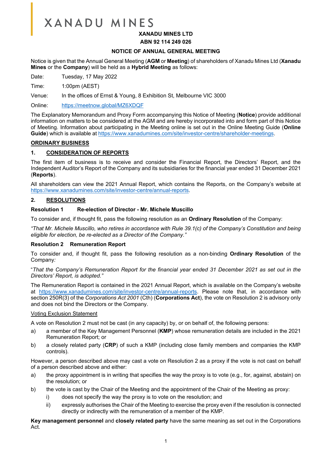# **XANADU MINES**

# **XANADU MINES LTD**

#### **ABN 92 114 249 026**

#### **NOTICE OF ANNUAL GENERAL MEETING**

Notice is given that the Annual General Meeting (**AGM** or **Meeting**) of shareholders of Xanadu Mines Ltd (**Xanadu Mines** or the **Company**) will be held as a **Hybrid Meeting** as follows:

Date: Tuesday, 17 May 2022

Time: 1:00pm (AEST)

Venue: In the offices of Ernst & Young, 8 Exhibition St, Melbourne VIC 3000

Online: <https://meetnow.global/MZ6XDQF>

The Explanatory Memorandum and Proxy Form accompanying this Notice of Meeting (**Notice**) provide additional information on matters to be considered at the AGM and are hereby incorporated into and form part of this Notice of Meeting. Information about participating in the Meeting online is set out in the Online Meeting Guide (**Online Guide**) which is available a[t https://www.xanadumines.com/site/investor-centre/shareholder-meetings.](https://www.xanadumines.com/site/investor-centre/shareholder-meetings)

#### **ORDINARY BUSINESS**

#### **1. CONSIDERATION OF REPORTS**

The first item of business is to receive and consider the Financial Report, the Directors' Report, and the Independent Auditor's Report of the Company and its subsidiaries for the financial year ended 31 December 2021 (**Reports**).

All shareholders can view the 2021 Annual Report, which contains the Reports, on the Company's website at [https://www.xanadumines.com/site/investor-centre/annual-reports.](https://www.xanadumines.com/site/investor-centre/annual-reports)

#### **2. RESOLUTIONS**

#### **Resolution 1 Re-election of Director - Mr. Michele Muscillo**

To consider and, if thought fit, pass the following resolution as an **Ordinary Resolution** of the Company:

*"That Mr. Michele Muscillo, who retires in accordance with Rule 39.1(c) of the Company's Constitution and being eligible for election, be re-elected as a Director of the Company."*

#### **Resolution 2 Remuneration Report**

To consider and, if thought fit, pass the following resolution as a non-binding **Ordinary Resolution** of the Company*:*

"*That the Company's Remuneration Report for the financial year ended 31 December 2021 as set out in the Directors' Report, is adopted."*

The Remuneration Report is contained in the 2021 Annual Report, which is available on the Company's website at [https://www.xanadumines.com/site/investor-centre/annual-reports.](https://www.xanadumines.com/site/investor-centre/annual-reports) Please note that, in accordance with section 250R(3) of the *Corporations Act 2001* (Cth) (**Corporations Act**), the vote on Resolution 2 is advisory only and does not bind the Directors or the Company.

#### Voting Exclusion Statement

A vote on Resolution 2 must not be cast (in any capacity) by, or on behalf of, the following persons:

- a) a member of the Key Management Personnel (**KMP**) whose remuneration details are included in the 2021 Remuneration Report; or
- b) a closely related party (**CRP**) of such a KMP (including close family members and companies the KMP controls).

However, a person described above may cast a vote on Resolution 2 as a proxy if the vote is not cast on behalf of a person described above and either:

- a) the proxy appointment is in writing that specifies the way the proxy is to vote (e.g., for, against, abstain) on the resolution; or
- b) the vote is cast by the Chair of the Meeting and the appointment of the Chair of the Meeting as proxy:
	- i) does not specify the way the proxy is to vote on the resolution; and
	- ii) expressly authorises the Chair of the Meeting to exercise the proxy even if the resolution is connected directly or indirectly with the remuneration of a member of the KMP.

**Key management personnel** and **closely related party** have the same meaning as set out in the Corporations Act.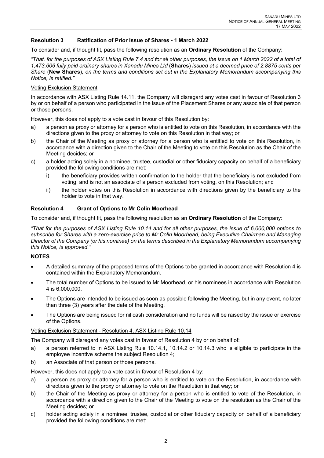# **Resolution 3 Ratification of Prior Issue of Shares - 1 March 2022**

To consider and, if thought fit, pass the following resolution as an **Ordinary Resolution** of the Company:

*"That, for the purposes of ASX Listing Rule 7.4 and for all other purposes, the issue on 1 March 2022 of a total of 1,473,606 fully paid ordinary shares in Xanadu Mines Ltd* (**Shares**) *issued at a deemed price of 2.8875 cents per Share* (**New Shares**)*, on the terms and conditions set out in the Explanatory Memorandum accompanying this Notice, is ratified."* 

#### Voting Exclusion Statement

In accordance with ASX Listing Rule 14.11, the Company will disregard any votes cast in favour of Resolution 3 by or on behalf of a person who participated in the issue of the Placement Shares or any associate of that person or those persons.

However, this does not apply to a vote cast in favour of this Resolution by:

- a) a person as proxy or attorney for a person who is entitled to vote on this Resolution, in accordance with the directions given to the proxy or attorney to vote on this Resolution in that way; or
- b) the Chair of the Meeting as proxy or attorney for a person who is entitled to vote on this Resolution, in accordance with a direction given to the Chair of the Meeting to vote on this Resolution as the Chair of the Meeting decides; or
- c) a holder acting solely in a nominee, trustee, custodial or other fiduciary capacity on behalf of a beneficiary provided the following conditions are met:
	- i) the beneficiary provides written confirmation to the holder that the beneficiary is not excluded from voting, and is not an associate of a person excluded from voting, on this Resolution; and
	- ii) the holder votes on this Resolution in accordance with directions given by the beneficiary to the holder to vote in that way.

#### **Resolution 4 Grant of Options to Mr Colin Moorhead**

To consider and, if thought fit, pass the following resolution as an **Ordinary Resolution** of the Company:

*"That for the purposes of ASX Listing Rule 10.14 and for all other purposes, the issue of 6,000,000 options to subscribe for Shares with a zero-exercise price to Mr Colin Moorhead, being Executive Chairman and Managing Director of the Company (or his nominee) on the terms described in the Explanatory Memorandum accompanying this Notice, is approved."*

#### **NOTES**

- A detailed summary of the proposed terms of the Options to be granted in accordance with Resolution 4 is contained within the Explanatory Memorandum.
- The total number of Options to be issued to Mr Moorhead, or his nominees in accordance with Resolution 4 is 6,000,000.
- The Options are intended to be issued as soon as possible following the Meeting, but in any event, no later than three (3) years after the date of the Meeting.
- The Options are being issued for nil cash consideration and no funds will be raised by the issue or exercise of the Options.

#### Voting Exclusion Statement - Resolution 4, ASX Listing Rule 10.14

The Company will disregard any votes cast in favour of Resolution 4 by or on behalf of:

- a) a person referred to in ASX Listing Rule 10.14.1, 10.14.2 or 10.14.3 who is eligible to participate in the employee incentive scheme the subject Resolution 4;
- b) an Associate of that person or those persons.

However, this does not apply to a vote cast in favour of Resolution 4 by:

- a) a person as proxy or attorney for a person who is entitled to vote on the Resolution, in accordance with directions given to the proxy or attorney to vote on the Resolution in that way; or
- b) the Chair of the Meeting as proxy or attorney for a person who is entitled to vote of the Resolution, in accordance with a direction given to the Chair of the Meeting to vote on the resolution as the Chair of the Meeting decides; or
- c) holder acting solely in a nominee, trustee, custodial or other fiduciary capacity on behalf of a beneficiary provided the following conditions are met: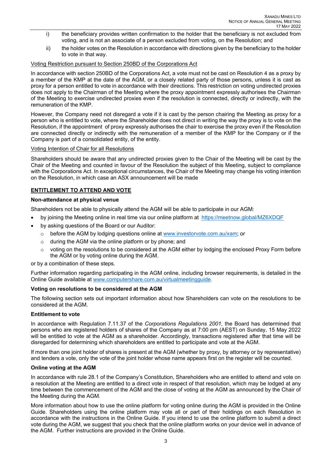- i) the beneficiary provides written confirmation to the holder that the beneficiary is not excluded from voting, and is not an associate of a person excluded from voting, on the Resolution; and
- ii) the holder votes on the Resolution in accordance with directions given by the beneficiary to the holder to vote in that way.

# Voting Restriction pursuant to Section 250BD of the Corporations Act

In accordance with section 250BD of the Corporations Act, a vote must not be cast on Resolution 4 as a proxy by a member of the KMP at the date of the AGM, or a closely related party of those persons, unless it is cast as proxy for a person entitled to vote in accordance with their directions. This restriction on voting undirected proxies does not apply to the Chairman of the Meeting where the proxy appointment expressly authorises the Chairman of the Meeting to exercise undirected proxies even if the resolution is connected, directly or indirectly, with the remuneration of the KMP.

However, the Company need not disregard a vote if it is cast by the person chairing the Meeting as proxy for a person who is entitled to vote, where the Shareholder does not direct in writing the way the proxy is to vote on the Resolution, if the appointment of proxy expressly authorises the chair to exercise the proxy even if the Resolution are connected directly or indirectly with the remuneration of a member of the KMP for the Company or if the Company is part of a consolidated entity, of the entity.

#### Voting Intention of Chair for all Resolutions

Shareholders should be aware that any undirected proxies given to the Chair of the Meeting will be cast by the Chair of the Meeting and counted in favour of the Resolution the subject of this Meeting, subject to compliance with the Corporations Act. In exceptional circumstances, the Chair of the Meeting may change his voting intention on the Resolution, in which case an ASX announcement will be made

# **ENTITLEMENT TO ATTEND AND VOTE**

#### **Non-attendance at physical venue**

Shareholders not be able to physically attend the AGM will be able to participate in our AGM:

- by joining the Meeting online in real time via our online platform at<https://meetnow.global/MZ6XDQF>
- by asking questions of the Board or our Auditor:
	- o before the AGM by lodging questions online at [www.investorvote.com.au/xam;](https://urldefense.com/v3/__http:/www.investorvite.com.au/xam__;!!GEb1pAs!QFGHU31kQe_yQNF9sRnY8cmdTutzVCnSx9Ivn8sliBkfaWvjEq6gz5BBbMGc8l8556Y6-Mg$) or
	- o during the AGM via the online platform or by phone; and
	- o voting on the resolutions to be considered at the AGM either by lodging the enclosed Proxy Form before the AGM or by voting online during the AGM.

or by a combination of these steps.

Further information regarding participating in the AGM online, including browser requirements, is detailed in the Online Guide available at [www.computershare.com.au/virtualmeetingguide.](http://www.computershare.com.au/virtualmeetingguide)

# **Voting on resolutions to be considered at the AGM**

The following section sets out important information about how Shareholders can vote on the resolutions to be considered at the AGM.

#### **Entitlement to vote**

In accordance with Regulation 7.11.37 of the *Corporations Regulations 2001*, the Board has determined that persons who are registered holders of shares of the Company as at 7:00 pm (AEST) on Sunday, 15 May 2022 will be entitled to vote at the AGM as a shareholder. Accordingly, transactions registered after that time will be disregarded for determining which shareholders are entitled to participate and vote at the AGM.

If more than one joint holder of shares is present at the AGM (whether by proxy, by attorney or by representative) and tenders a vote, only the vote of the joint holder whose name appears first on the register will be counted.

#### **Online voting at the AGM**

In accordance with rule 28.1 of the Company's Constitution, Shareholders who are entitled to attend and vote on a resolution at the Meeting are entitled to a direct vote in respect of that resolution, which may be lodged at any time between the commencement of the AGM and the close of voting at the AGM as announced by the Chair of the Meeting during the AGM.

More information about how to use the online platform for voting online during the AGM is provided in the Online Guide. Shareholders using the online platform may vote all or part of their holdings on each Resolution in accordance with the instructions in the Online Guide. If you intend to use the online platform to submit a direct vote during the AGM, we suggest that you check that the online platform works on your device well in advance of the AGM. Further instructions are provided in the Online Guide.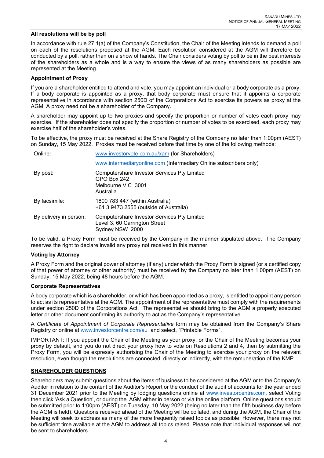#### **All resolutions will be by poll**

In accordance with rule 27.1(a) of the Company's Constitution, the Chair of the Meeting intends to demand a poll on each of the resolutions proposed at the AGM. Each resolution considered at the AGM will therefore be conducted by a poll, rather than on a show of hands. The Chair considers voting by poll to be in the best interests of the shareholders as a whole and is a way to ensure the views of as many shareholders as possible are represented at the Meeting.

#### **Appointment of Proxy**

If you are a shareholder entitled to attend and vote, you may appoint an individual or a body corporate as a proxy. If a body corporate is appointed as a proxy, that body corporate must ensure that it appoints a corporate representative in accordance with section 250D of the Corporations Act to exercise its powers as proxy at the AGM. A proxy need not be a shareholder of the Company.

A shareholder may appoint up to two proxies and specify the proportion or number of votes each proxy may exercise. If the shareholder does not specify the proportion or number of votes to be exercised, each proxy may exercise half of the shareholder's votes.

To be effective, the proxy must be received at the Share Registry of the Company no later than 1:00pm (AEST) on Sunday, 15 May 2022. Proxies must be received before that time by one of the following methods:

| Online:                | www.investorvote.com.au/xam (for Shareholders)                                                  |  |  |
|------------------------|-------------------------------------------------------------------------------------------------|--|--|
|                        | www.intermediaryonline.com (Intermediary Online subscribers only)                               |  |  |
| By post:               | Computershare Investor Services Pty Limited<br>GPO Box 242<br>Melbourne VIC 3001<br>Australia   |  |  |
| By facsimile:          | 1800 783 447 (within Australia)<br>+61 3 9473 2555 (outside of Australia)                       |  |  |
| By delivery in person: | Computershare Investor Services Pty Limited<br>Level 3, 60 Carrington Street<br>Sydney NSW 2000 |  |  |

To be valid, a Proxy Form must be received by the Company in the manner stipulated above. The Company reserves the right to declare invalid any proxy not received in this manner.

#### **Voting by Attorney**

A Proxy Form and the original power of attorney (if any) under which the Proxy Form is signed (or a certified copy of that power of attorney or other authority) must be received by the Company no later than 1:00pm (AEST) on Sunday, 15 May 2022, being 48 hours before the AGM.

#### **Corporate Representatives**

A body corporate which is a shareholder, or which has been appointed as a proxy, is entitled to appoint any person to act as its representative at the AGM. The appointment of the representative must comply with the requirements under section 250D of the Corporations Act. The representative should bring to the AGM a properly executed letter or other document confirming its authority to act as the Company's representative.

A *Certificate of Appointment of Corporate Representative* form may be obtained from the Company's Share Registry or online at [www.investorcentre.com/](http://www.investorcentre.com/)au and select, "Printable Forms".

IMPORTANT: If you appoint the Chair of the Meeting as your proxy, or the Chair of the Meeting becomes your proxy by default, and you do not direct your proxy how to vote on Resolutions 2 and 4, then by submitting the Proxy Form, you will be expressly authorising the Chair of the Meeting to exercise your proxy on the relevant resolution, even though the resolutions are connected, directly or indirectly, with the remuneration of the KMP.

#### **SHAREHOLDER QUESTIONS**

Shareholders may submit questions about the items of business to be considered at the AGM or to the Company's Auditor in relation to the content of the Auditor's Report or the conduct of the audit of accounts for the year ended 31 December 2021 prior to the Meeting by lodging questions online at [www.investorcentre.com,](http://www.investorcentre.com/) select Voting then click 'Ask a Question', or during the AGM either in person or via the online platform. Online questions should be submitted prior to 1:00pm (AEST) on Tuesday, 10 May 2022 (being no later than the fifth business day before the AGM is held). Questions received ahead of the Meeting will be collated, and during the AGM, the Chair of the Meeting will seek to address as many of the more frequently raised topics as possible. However, there may not be sufficient time available at the AGM to address all topics raised. Please note that individual responses will not be sent to shareholders.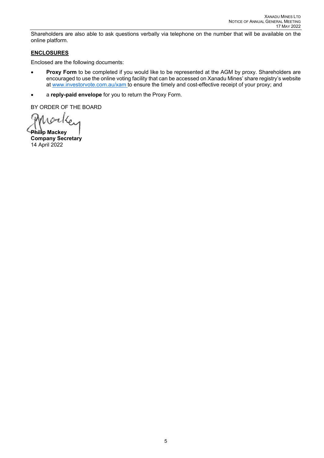Shareholders are also able to ask questions verbally via telephone on the number that will be available on the online platform.

# **ENCLOSURES**

Enclosed are the following documents:

- **Proxy Form** to be completed if you would like to be represented at the AGM by proxy. Shareholders are encouraged to use the online voting facility that can be accessed on Xanadu Mines' share registry's website at [www.investorvote.com.au/xam](https://urldefense.com/v3/__http:/www.investorvite.com.au/xam__;!!GEb1pAs!QFGHU31kQe_yQNF9sRnY8cmdTutzVCnSx9Ivn8sliBkfaWvjEq6gz5BBbMGc8l8556Y6-Mg$) to ensure the timely and cost-effective receipt of your proxy; and
- a **reply-paid envelope** for you to return the Proxy Form.

BY ORDER OF THE BOARD

Morks

**Philip Mackey Company Secretary** 14 April 2022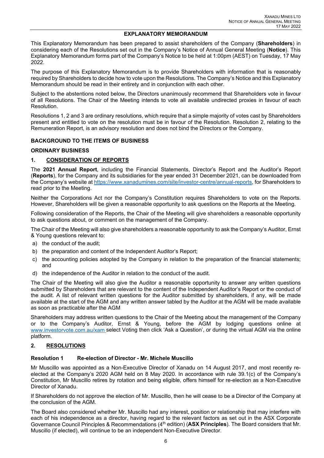#### **EXPLANATORY MEMORANDUM**

This Explanatory Memorandum has been prepared to assist shareholders of the Company (**Shareholders**) in considering each of the Resolutions set out in the Company's Notice of Annual General Meeting (**Notice**). This Explanatory Memorandum forms part of the Company's Notice to be held at 1:00pm (AEST) on Tuesday, 17 May 2022.

The purpose of this Explanatory Memorandum is to provide Shareholders with information that is reasonably required by Shareholders to decide how to vote upon the Resolutions. The Company's Notice and this Explanatory Memorandum should be read in their entirety and in conjunction with each other.

Subject to the abstentions noted below, the Directors unanimously recommend that Shareholders vote in favour of all Resolutions. The Chair of the Meeting intends to vote all available undirected proxies in favour of each Resolution.

Resolutions 1, 2 and 3 are ordinary resolutions, which require that a simple majority of votes cast by Shareholders present and entitled to vote on the resolution must be in favour of the Resolution. Resolution 2, relating to the Remuneration Report, is an advisory resolution and does not bind the Directors or the Company.

# **BACKGROUND TO THE ITEMS OF BUSINESS**

#### **ORDINARY BUSINESS**

# **1. CONSIDERATION OF REPORTS**

The **2021 Annual Report**, including the Financial Statements, Director's Report and the Auditor's Report (**Reports**), for the Company and its subsidiaries for the year ended 31 December 2021, can be downloaded from the Company's website at [https://www.xanadumines.com/site/investor-centre/annual-reports,](https://www.xanadumines.com/site/investor-centre/annual-reports) for Shareholders to read prior to the Meeting.

Neither the Corporations Act nor the Company's Constitution requires Shareholders to vote on the Reports. However, Shareholders will be given a reasonable opportunity to ask questions on the Reports at the Meeting.

Following consideration of the Reports, the Chair of the Meeting will give shareholders a reasonable opportunity to ask questions about, or comment on the management of the Company.

The Chair of the Meeting will also give shareholders a reasonable opportunity to ask the Company's Auditor, Ernst & Young questions relevant to:

- a) the conduct of the audit;
- b) the preparation and content of the Independent Auditor's Report;
- c) the accounting policies adopted by the Company in relation to the preparation of the financial statements; and
- d) the independence of the Auditor in relation to the conduct of the audit.

The Chair of the Meeting will also give the Auditor a reasonable opportunity to answer any written questions submitted by Shareholders that are relevant to the content of the Independent Auditor's Report or the conduct of the audit. A list of relevant written questions for the Auditor submitted by shareholders, if any, will be made available at the start of the AGM and any written answer tabled by the Auditor at the AGM will be made available as soon as practicable after the AGM

Shareholders may address written questions to the Chair of the Meeting about the management of the Company or to the Company's Auditor, Ernst & Young, before the AGM by lodging questions online at [www.investorvote.com.au/xam](https://urldefense.com/v3/__http:/www.investorvite.com.au/xam__;!!GEb1pAs!QFGHU31kQe_yQNF9sRnY8cmdTutzVCnSx9Ivn8sliBkfaWvjEq6gz5BBbMGc8l8556Y6-Mg$) select Voting then click 'Ask a Question', or during the virtual AGM via the online platform.

# **2. RESOLUTIONS**

# **Resolution 1 Re-election of Director - Mr. Michele Muscillo**

Mr Muscillo was appointed as a Non-Executive Director of Xanadu on 14 August 2017, and most recently reelected at the Company's 2020 AGM held on 8 May 2020. In accordance with rule 39.1(c) of the Company's Constitution, Mr Muscillo retires by rotation and being eligible, offers himself for re-election as a Non-Executive Director of Xanadu.

If Shareholders do not approve the election of Mr. Muscillo, then he will cease to be a Director of the Company at the conclusion of the AGM.

The Board also considered whether Mr. Muscillo had any interest, position or relationship that may interfere with each of his independence as a director, having regard to the relevant factors as set out in the ASX Corporate Governance Council Principles & Recommendations (4th edition) (**ASX Principles**). The Board considers that Mr. Muscillo (if elected), will continue to be an independent Non-Executive Director.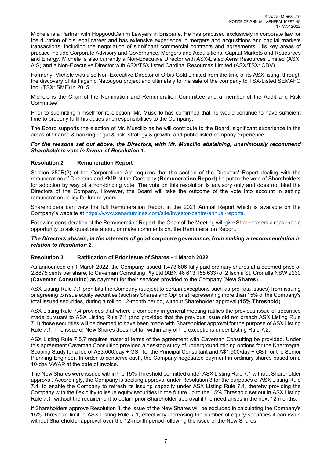Michele is a Partner with HopgoodGanim Lawyers in Brisbane. He has practised exclusively in corporate law for the duration of his legal career and has extensive experience in mergers and acquisitions and capital markets transactions, including the negotiation of significant commercial contracts and agreements. His key areas of practice include Corporate Advisory and Governance, Mergers and Acquisitions, Capital Markets and Resources and Energy. Michele is also currently a Non-Executive Director with ASX-Listed Aeris Resources Limited (ASX: AIS) and a Non-Executive Director with ASX/TSX listed Cardinal Resources Limited (ASX/TSX: CDV).

Formerly, Michele was also Non-Executive Director of Orbis Gold Limited from the time of its ASX listing, through the discovery of its flagship Natougou project and ultimately to the sale of the company to TSX-Listed SEMAFO Inc. (TSX: SMF) in 2015.

Michele is the Chair of the Nomination and Remuneration Committee and a member of the Audit and Risk Committee.

Prior to submitting himself for re-election, Mr. Muscillo has confirmed that he would continue to have sufficient time to properly fulfil his duties and responsibilities to the Company.

The Board supports the election of Mr. Muscillo as he will contribute to the Board, significant experience in the areas of finance & banking, legal & risk, strategy & growth, and public listed company experience.

#### *For the reasons set out above, the Directors, with Mr. Muscillo abstaining, unanimously recommend Shareholders vote in favour of Resolution 1.*

# **Resolution 2 Remuneration Report**

Section 250R(2) of the Corporations Act requires that the section of the Directors' Report dealing with the remuneration of Directors and KMP of the Company (**Remuneration Report**) be put to the vote of Shareholders for adoption by way of a non-binding vote. The vote on this resolution is advisory only and does not bind the Directors of the Company. However, the Board will take the outcome of the vote into account in setting remuneration policy for future years.

Shareholders can view the full Remuneration Report in the 2021 Annual Report which is available on the Company's website at [https://www.xanadumines.com/site/investor-centre/annual-reports.](https://www.xanadumines.com/site/investor-centre/annual-reports)

Following consideration of the Remuneration Report, the Chair of the Meeting will give Shareholders a reasonable opportunity to ask questions about, or make comments on, the Remuneration Report.

#### *The Directors abstain, in the interests of good corporate governance, from making a recommendation in relation to Resolution 2.*

#### **Resolution 3 Ratification of Prior Issue of Shares - 1 March 2022**

As announced on 1 March 2022, the Company issued 1,473,606 fully paid ordinary shares at a deemed price of 2.8875 cents per share, to Caveman Consulting Pty Ltd (ABN 46 613 158 633) of 2 Ischia St, Cronulla NSW 2230 (**Caveman Consulting**) as payment for their services provided to the Company (**New Shares**).

ASX Listing Rule 7.1 prohibits the Company (subject to certain exceptions such as pro-rata issues) from issuing or agreeing to issue equity securities (such as Shares and Options) representing more than 15% of the Company's total issued securities, during a rolling 12-month period, without Shareholder approval (**15% Threshold**).

ASX Listing Rule 7.4 provides that where a company in general meeting ratifies the previous issue of securities made pursuant to ASX Listing Rule 7.1 (and provided that the previous issue did not breach ASX Listing Rule 7.1) those securities will be deemed to have been made with Shareholder approval for the purpose of ASX Listing Rule 7.1. The issue of New Shares does not fall within any of the exceptions under Listing Rule 7.2.

ASX Listing Rule 7.5.7 requires material terms of the agreement with Caveman Consulting be provided. Under this agreement Caveman Consulting provided a desktop study of underground mining options for the Kharmagtai Scoping Study for a fee of A\$3,000/day + GST for the Principal Consultant and A\$1,900/day + GST for the Senior Planning Engineer. In order to conserve cash, the Company negotiated payment in ordinary shares based on a 10-day VWAP at the date of invoice.

The New Shares were issued within the 15% Threshold permitted under ASX Listing Rule 7.1 without Shareholder approval. Accordingly, the Company is seeking approval under Resolution 3 for the purposes of ASX Listing Rule 7.4, to enable the Company to refresh its issuing capacity under ASX Listing Rule 7.1, thereby providing the Company with the flexibility to issue equity securities in the future up to the 15% Threshold set out in ASX Listing Rule 7.1, without the requirement to obtain prior Shareholder approval if the need arises in the next 12 months.

If Shareholders approve Resolution 3, the issue of the New Shares will be excluded in calculating the Company's 15% Threshold limit in ASX Listing Rule 7.1, effectively increasing the number of equity securities it can issue without Shareholder approval over the 12-month period following the issue of the New Shares.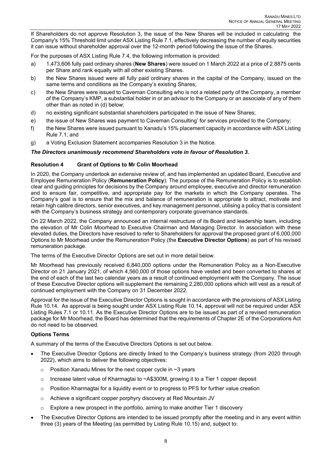If Shareholders do not approve Resolution 3, the issue of the New Shares will be included in calculating the Company's 15% Threshold limit under ASX Listing Rule 7.1, effectively decreasing the number of equity securities it can issue without shareholder approval over the 12-month period following the issue of the Shares.

For the purposes of ASX Listing Rule 7.4, the following information is provided:

- a) 1,473,606 fully paid ordinary shares (**New Shares**) were issued on 1 March 2022 at a price of 2.8875 cents per Share and rank equally with all other existing Shares.
- b) the New Shares issued were all fully paid ordinary shares in the capital of the Company, issued on the same terms and conditions as the Company's existing Shares;
- c) the New Shares were issued to Caveman Consulting who is not a related party of the Company, a member of the Company's KMP, a substantial holder in or an advisor to the Company or an associate of any of them other than as noted in (d) below;
- d) no existing significant substantial shareholders participated in the issue of New Shares;
- e) the issue of New Shares was payment to Caveman Consulting' for services provided to the Company;
- f) the New Shares were issued pursuant to Xanadu's 15% placement capacity in accordance with ASX Listing Rule 7.1; and
- g) a Voting Exclusion Statement accompanies Resolution 3 in the Notice.

# *The Directors unanimously recommend Shareholders vote in favour of Resolution 3.*

# **Resolution 4 Grant of Options to Mr Colin Moorhead**

In 2020, the Company undertook an extensive review of, and has implemented an updated Board, Executive and Employee Remuneration Policy (**Remuneration Policy**). The purpose of the Remuneration Policy is to establish clear and guiding principles for decisions by the Company around employee, executive and director remuneration and to ensure fair, competitive, and appropriate pay for the markets in which the Company operates. The Company's goal is to ensure that the mix and balance of remuneration is appropriate to attract, motivate and retain high calibre directors, senior executives, and key management personnel, utilising a policy that is consistent with the Company's business strategy and contemporary corporate governance standards.

On 22 March 2022, the Company announced an internal restructure of its Board and leadership team, including the elevation of Mr Colin Moorhead to Executive Chairman and Managing Director. In association with these elevated duties, the Directors have resolved to refer to Shareholders for approval the proposed grant of 6,000,000 Options to Mr Moorhead under the Remuneration Policy (the **Executive Director Options**) as part of his revised remuneration package.

The terms of the Executive Director Options are set out in more detail below.

Mr Moorhead has previously received 6,840,000 options under the Remuneration Policy as a Non-Executive Director on 21 January 2021, of which 4,560,000 of those options have vested and been converted to shares at the end of each of the last two calendar years as a result of continued employment with the Company. The issue of these Executive Director options will supplement the remaining 2,280,000 options which will vest as a result of continued employment with the Company on 31 December 2022.

Approval for the issue of the Executive Director Options is sought in accordance with the provisions of ASX Listing Rule 10.14. As approval is being sought under ASX Listing Rule 10.14, approval will not be required under ASX Listing Rules 7.1 or 10.11. As the Executive Director Options are to be issued as part of a revised remuneration package for Mr Moorhead, the Board has determined that the requirements of Chapter 2E of the Corporations Act do not need to be observed.

# **Options Terms**

A summary of the terms of the Executive Directors Options is set out below.

- The Executive Director Options are directly linked to the Company's business strategy (from 2020 through 2022), which aims to deliver the following objectives:
	- o Position Xanadu Mines for the next copper cycle in ~3 years
	- $\circ$  Increase latent value of Kharmagtai to  $\sim$  A\$300M, growing it to a Tier 1 copper deposit
	- $\circ$  Position Kharmagtai for a liquidity event or to progress to PFS for further value creation
	- o Achieve a significant copper porphyry discovery at Red Mountain JV
	- o Explore a new prospect in the portfolio, aiming to make another Tier 1 discovery
- The Executive Director Options are intended to be issued promptly after the meeting and in any event within three (3) years of the Meeting (as permitted by Listing Rule 10.15) and, subject to: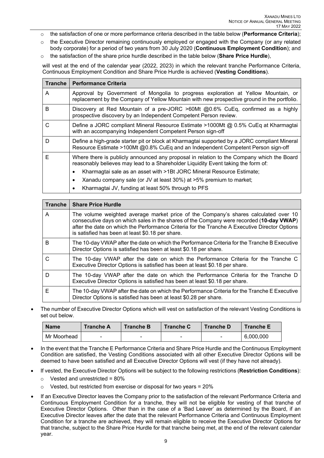- o the satisfaction of one or more performance criteria described in the table below (**Performance Criteria**);
- o the Executive Director remaining continuously employed or engaged with the Company (or any related body corporate) for a period of two years from 30 July 2020 (**Continuous Employment Condition**); and
- o the satisfaction of the share price hurdle described in the table below (**Share Price Hurdle**),

will vest at the end of the calendar year (2022, 2023) in which the relevant tranche Performance Criteria, Continuous Employment Condition and Share Price Hurdle is achieved (**Vesting Conditions**).

| <b>Tranche</b> | <b>Performance Criteria</b>                                                                                                                                                      |  |  |
|----------------|----------------------------------------------------------------------------------------------------------------------------------------------------------------------------------|--|--|
| A              | Approval by Government of Mongolia to progress exploration at Yellow Mountain, or<br>replacement by the Company of Yellow Mountain with new prospective ground in the portfolio. |  |  |
| B              | Discovery at Red Mountain of a pre-JORC >60Mt @0.6% CuEq, confirmed as a highly<br>prospective discovery by an Independent Competent Person review.                              |  |  |
| C              | Define a JORC compliant Mineral Resource Estimate >1000Mt @ 0.5% CuEq at Kharmagtai<br>with an accompanying Independent Competent Person sign-off                                |  |  |
| D              | Define a high-grade starter pit or block at Kharmagtai supported by a JORC compliant Mineral<br>Resource Estimate >100Mt @0.8% CuEq and an Independent Competent Person sign-off |  |  |
| Е              | Where there is publicly announced any proposal in relation to the Company which the Board<br>reasonably believes may lead to a Shareholder Liquidity Event taking the form of:   |  |  |
|                | Kharmagtai sale as an asset with >1Bt JORC Mineral Resource Estimate;                                                                                                            |  |  |
|                | Xanadu company sale (or JV at least 30%) at >5% premium to market;                                                                                                               |  |  |
|                | Kharmagtai JV, funding at least 50% through to PFS                                                                                                                               |  |  |

| <b>Tranche</b> | <b>Share Price Hurdle</b>                                                                                                                                                                                                                                                                                                            |
|----------------|--------------------------------------------------------------------------------------------------------------------------------------------------------------------------------------------------------------------------------------------------------------------------------------------------------------------------------------|
| A              | The volume weighted average market price of the Company's shares calculated over 10<br>consecutive days on which sales in the shares of the Company were recorded (10-day VWAP)<br>after the date on which the Performance Criteria for the Tranche A Executive Director Options<br>is satisfied has been at least \$0.18 per share. |
| в              | The 10-day VWAP after the date on which the Performance Criteria for the Tranche B Executive<br>Director Options is satisfied has been at least \$0.18 per share.                                                                                                                                                                    |
| C              | The 10-day VWAP after the date on which the Performance Criteria for the Tranche C<br>Executive Director Options is satisfied has been at least \$0.18 per share.                                                                                                                                                                    |
| D              | The 10-day VWAP after the date on which the Performance Criteria for the Tranche D<br>Executive Director Options is satisfied has been at least \$0.18 per share.                                                                                                                                                                    |
| F              | The 10-day VWAP after the date on which the Performance Criteria for the Tranche E Executive<br>Director Options is satisfied has been at least \$0.28 per share.                                                                                                                                                                    |

• The number of Executive Director Options which will vest on satisfaction of the relevant Vesting Conditions is set out below.

| <b>Name</b> | <b>Tranche A</b>         | <b>Tranche B</b> | <b>Tranche C</b> | <b>Tranche D</b> | <b>Tranche E</b> |
|-------------|--------------------------|------------------|------------------|------------------|------------------|
| Mr Moorhead | $\overline{\phantom{0}}$ | -                | -                | -                | 6,000,000        |

- In the event that the Tranche E Performance Criteria and Share Price Hurdle and the Continuous Employment Condition are satisfied, the Vesting Conditions associated with all other Executive Director Options will be deemed to have been satisfied and all Executive Director Options will vest (if they have not already).
- If vested, the Executive Director Options will be subject to the following restrictions (**Restriction Conditions**):
	- $\circ$  Vested and unrestricted = 80%
	- $\circ$  Vested, but restricted from exercise or disposal for two years = 20%
- If an Executive Director leaves the Company prior to the satisfaction of the relevant Performance Criteria and Continuous Employment Condition for a tranche, they will not be eligible for vesting of that tranche of Executive Director Options. Other than in the case of a 'Bad Leaver' as determined by the Board, if an Executive Director leaves after the date that the relevant Performance Criteria and Continuous Employment Condition for a tranche are achieved, they will remain eligible to receive the Executive Director Options for that tranche, subject to the Share Price Hurdle for that tranche being met, at the end of the relevant calendar year.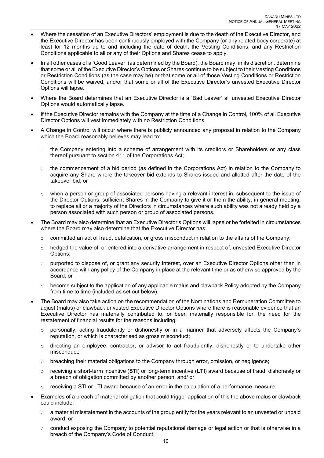- Where the cessation of an Executive Directors' employment is due to the death of the Executive Director, and the Executive Director has been continuously employed with the Company (or any related body corporate) at least for 12 months up to and including the date of death, the Vesting Conditions, and any Restriction Conditions applicable to all or any of their Options and Shares cease to apply.
- In all other cases of a 'Good Leaver' (as determined by the Board), the Board may, in its discretion, determine that some or all of the Executive Director's Options or Shares continue to be subject to their Vesting Conditions or Restriction Conditions (as the case may be) or that some or all of those Vesting Conditions or Restriction Conditions will be waived, and/or that some or all of the Executive Director's unvested Executive Director Options will lapse.
- Where the Board determines that an Executive Director is a 'Bad Leaver' all unvested Executive Director Options would automatically lapse.
- If the Executive Director remains with the Company at the time of a Change in Control, 100% of all Executive Director Options will vest immediately with no Restriction Conditions.
- A Change in Control will occur where there is publicly announced any proposal in relation to the Company which the Board reasonably believes may lead to:
	- $\circ$  the Company entering into a scheme of arrangement with its creditors or Shareholders or any class thereof pursuant to section 411 of the Corporations Act;
	- $\circ$  the commencement of a bid period (as defined in the Corporations Act) in relation to the Company to acquire any Share where the takeover bid extends to Shares issued and allotted after the date of the takeover bid; or
	- $\circ$  when a person or group of associated persons having a relevant interest in, subsequent to the issue of the Director Options, sufficient Shares in the Company to give it or them the ability, in general meeting, to replace all or a majority of the Directors in circumstances where such ability was not already held by a person associated with such person or group of associated persons.
- The Board may also determine that an Executive Director's Options will lapse or be forfeited in circumstances where the Board may also determine that the Executive Director has:
	- $\circ$  committed an act of fraud, defalcation, or gross misconduct in relation to the affairs of the Company;
	- $\circ$  hedged the value of, or entered into a derivative arrangement in respect of, unvested Executive Director Options;
	- o purported to dispose of, or grant any security Interest, over an Executive Director Options other than in accordance with any policy of the Company in place at the relevant time or as otherwise approved by the Board; or
	- $\circ$  become subject to the application of any applicable malus and clawback Policy adopted by the Company from time to time (included as set out below).
- The Board may also take action on the recommendation of the Nominations and Remuneration Committee to adjust (malus) or clawback unvested Executive Director Options where there is reasonable evidence that an Executive Director has materially contributed to, or been materially responsible for, the need for the restatement of financial results for the reasons including:
	- o personally, acting fraudulently or dishonestly or in a manner that adversely affects the Company's reputation, or which is characterised as gross misconduct;
	- $\circ$  directing an employee, contractor, or advisor to act fraudulently, dishonestly or to undertake other misconduct;
	- $\circ$  breaching their material obligations to the Company through error, omission, or negligence;
	- o receiving a short-term incentive (**STI**) or long-term incentive (**LTI**) award because of fraud, dishonesty or a breach of obligation committed by another person; and/ or
	- $\circ$  receiving a STI or LTI award because of an error in the calculation of a performance measure.
- Examples of a breach of material obligation that could trigger application of this the above malus or clawback could include:
	- $\circ$  a material misstatement in the accounts of the group entity for the years relevant to an unvested or unpaid award; or
	- $\circ$  conduct exposing the Company to potential reputational damage or legal action or that is otherwise in a breach of the Company's Code of Conduct.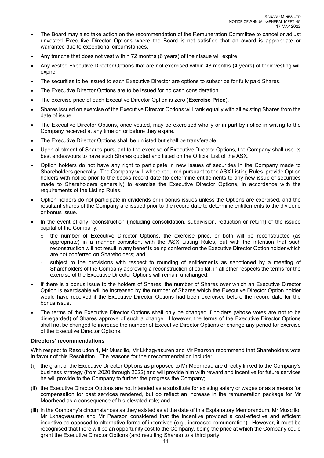- The Board may also take action on the recommendation of the Remuneration Committee to cancel or adjust unvested Executive Director Options where the Board is not satisfied that an award is appropriate or warranted due to exceptional circumstances.
- Any tranche that does not vest within 72 months (6 years) of their issue will expire.
- Any vested Executive Director Options that are not exercised within 48 months (4 years) of their vesting will expire.
- The securities to be issued to each Executive Director are options to subscribe for fully paid Shares.
- The Executive Director Options are to be issued for no cash consideration.
- The exercise price of each Executive Director Option is zero (**Exercise Price**).
- Shares issued on exercise of the Executive Director Options will rank equally with all existing Shares from the date of issue.
- The Executive Director Options, once vested, may be exercised wholly or in part by notice in writing to the Company received at any time on or before they expire.
- The Executive Director Options shall be unlisted but shall be transferable.
- Upon allotment of Shares pursuant to the exercise of Executive Director Options, the Company shall use its best endeavours to have such Shares quoted and listed on the Official List of the ASX.
- Option holders do not have any right to participate in new issues of securities in the Company made to Shareholders generally. The Company will, where required pursuant to the ASX Listing Rules, provide Option holders with notice prior to the books record date (to determine entitlements to any new issue of securities made to Shareholders generally) to exercise the Executive Director Options, in accordance with the requirements of the Listing Rules.
- Option holders do not participate in dividends or in bonus issues unless the Options are exercised, and the resultant shares of the Company are issued prior to the record date to determine entitlements to the dividend or bonus issue.
- In the event of any reconstruction (including consolidation, subdivision, reduction or return) of the issued capital of the Company:
	- o the number of Executive Director Options, the exercise price, or both will be reconstructed (as appropriate) in a manner consistent with the ASX Listing Rules, but with the intention that such reconstruction will not result in any benefits being conferred on the Executive Director Option holder which are not conferred on Shareholders; and
	- $\circ$  subject to the provisions with respect to rounding of entitlements as sanctioned by a meeting of Shareholders of the Company approving a reconstruction of capital, in all other respects the terms for the exercise of the Executive Director Options will remain unchanged.
- If there is a bonus issue to the holders of Shares, the number of Shares over which an Executive Director Option is exercisable will be increased by the number of Shares which the Executive Director Option holder would have received if the Executive Director Options had been exercised before the record date for the bonus issue.
- The terms of the Executive Director Options shall only be changed if holders (whose votes are not to be disregarded) of Shares approve of such a change. However, the terms of the Executive Director Options shall not be changed to increase the number of Executive Director Options or change any period for exercise of the Executive Director Options.

# **Directors' recommendations**

With respect to Resolution 4, Mr Muscillo, Mr Lkhagvasuren and Mr Pearson recommend that Shareholders vote in favour of this Resolution. The reasons for their recommendation include:

- (i) the grant of the Executive Director Options as proposed to Mr Moorhead are directly linked to the Company's business strategy (from 2020 through 2022) and will provide him with reward and incentive for future services he will provide to the Company to further the progress the Company;
- (ii) the Executive Director Options are not intended as a substitute for existing salary or wages or as a means for compensation for past services rendered, but do reflect an increase in the remuneration package for Mr Moorhead as a consequence of his elevated role; and
- (iii) in the Company's circumstances as they existed as at the date of this Explanatory Memorandum, Mr Muscillo, Mr Lkhagvasuren and Mr Pearson considered that the incentive provided a cost-effective and efficient incentive as opposed to alternative forms of incentives (e.g., increased remuneration). However, it must be recognised that there will be an opportunity cost to the Company, being the price at which the Company could grant the Executive Director Options (and resulting Shares) to a third party.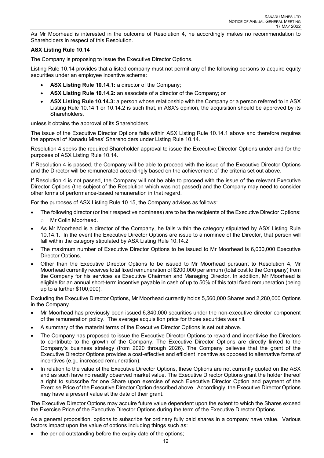As Mr Moorhead is interested in the outcome of Resolution 4, he accordingly makes no recommendation to Shareholders in respect of this Resolution.

# **ASX Listing Rule 10.14**

The Company is proposing to issue the Executive Director Options.

Listing Rule 10.14 provides that a listed company must not permit any of the following persons to acquire equity securities under an employee incentive scheme:

- **ASX Listing Rule 10.14.1:** a director of the Company;
- **ASX Listing Rule 10.14.2:** an associate of a director of the Company; or
- **ASX Listing Rule 10.14.3:** a person whose relationship with the Company or a person referred to in ASX Listing Rule 10.14.1 or 10.14.2 is such that, in ASX's opinion, the acquisition should be approved by its Shareholders,

unless it obtains the approval of its Shareholders.

The issue of the Executive Director Options falls within ASX Listing Rule 10.14.1 above and therefore requires the approval of Xanadu Mines' Shareholders under Listing Rule 10.14.

Resolution 4 seeks the required Shareholder approval to issue the Executive Director Options under and for the purposes of ASX Listing Rule 10.14.

If Resolution 4 is passed, the Company will be able to proceed with the issue of the Executive Director Options and the Director will be remunerated accordingly based on the achievement of the criteria set out above.

If Resolution 4 is not passed, the Company will not be able to proceed with the issue of the relevant Executive Director Options (the subject of the Resolution which was not passed) and the Company may need to consider other forms of performance-based remuneration in that regard.

For the purposes of ASX Listing Rule 10.15, the Company advises as follows:

- The following director (or their respective nominees) are to be the recipients of the Executive Director Options:
	- o Mr Colin Moorhead.
- As Mr Moorhead is a director of the Company, he falls within the category stipulated by ASX Listing Rule 10.14.1. In the event the Executive Director Options are issue to a nominee of the Director, that person will fall within the category stipulated by ASX Listing Rule 10.14.2
- The maximum number of Executive Director Options to be issued to Mr Moorhead is 6,000,000 Executive Director Options.
- Other than the Executive Director Options to be issued to Mr Moorhead pursuant to Resolution 4, Mr Moorhead currently receives total fixed remuneration of \$200,000 per annum (total cost to the Company) from the Company for his services as Executive Chairman and Managing Director. In addition, Mr Moorhead is eligible for an annual short-term incentive payable in cash of up to 50% of this total fixed remuneration (being up to a further \$100,000).

Excluding the Executive Director Options, Mr Moorhead currently holds 5,560,000 Shares and 2,280,000 Options in the Company.

- Mr Moorhead has previously been issued 6,840,000 securities under the non-executive director component of the remuneration policy. The average acquisition price for those securities was nil.
- A summary of the material terms of the Executive Director Options is set out above.
- The Company has proposed to issue the Executive Director Options to reward and incentivise the Directors to contribute to the growth of the Company. The Executive Director Options are directly linked to the Company's business strategy (from 2020 through 2026). The Company believes that the grant of the Executive Director Options provides a cost-effective and efficient incentive as opposed to alternative forms of incentives (e.g., increased remuneration).
- In relation to the value of the Executive Director Options, these Options are not currently quoted on the ASX and as such have no readily observed market value. The Executive Director Options grant the holder thereof a right to subscribe for one Share upon exercise of each Executive Director Option and payment of the Exercise Price of the Executive Director Option described above. Accordingly, the Executive Director Options may have a present value at the date of their grant.

The Executive Director Options may acquire future value dependent upon the extent to which the Shares exceed the Exercise Price of the Executive Director Options during the term of the Executive Director Options.

As a general proposition, options to subscribe for ordinary fully paid shares in a company have value. Various factors impact upon the value of options including things such as:

the period outstanding before the expiry date of the options;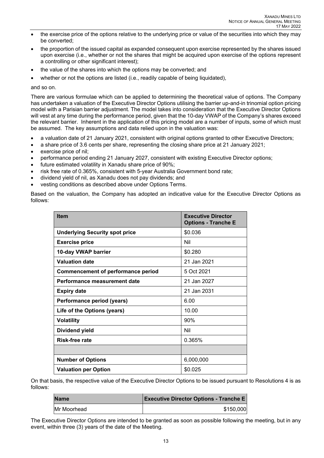- the exercise price of the options relative to the underlying price or value of the securities into which they may be converted;
- the proportion of the issued capital as expanded consequent upon exercise represented by the shares issued upon exercise (i.e., whether or not the shares that might be acquired upon exercise of the options represent a controlling or other significant interest);
- the value of the shares into which the options may be converted; and
- whether or not the options are listed (i.e., readily capable of being liquidated),

#### and so on.

There are various formulae which can be applied to determining the theoretical value of options. The Company has undertaken a valuation of the Executive Director Options utilising the barrier up-and-in trinomial option pricing model with a Parisian barrier adjustment. The model takes into consideration that the Executive Director Options will vest at any time during the performance period, given that the 10-day VWAP of the Company's shares exceed the relevant barrier. Inherent in the application of this pricing model are a number of inputs, some of which must be assumed. The key assumptions and data relied upon in the valuation was:

- a valuation date of 21 January 2021, consistent with original options granted to other Executive Directors;
- a share price of 3.6 cents per share, representing the closing share price at 21 January 2021;
- exercise price of nil;
- performance period ending 21 January 2027, consistent with existing Executive Director options;
- future estimated volatility in Xanadu share price of 90%;
- risk free rate of 0.365%, consistent with 5-year Australia Government bond rate;
- dividend yield of nil, as Xanadu does not pay dividends; and
- vesting conditions as described above under Options Terms.

Based on the valuation, the Company has adopted an indicative value for the Executive Director Options as follows:

| <b>Item</b>                               | <b>Executive Director</b><br><b>Options - Tranche E</b> |  |
|-------------------------------------------|---------------------------------------------------------|--|
| <b>Underlying Security spot price</b>     | \$0.036                                                 |  |
| <b>Exercise price</b>                     | Nil                                                     |  |
| 10-day VWAP barrier                       | \$0.280                                                 |  |
| <b>Valuation date</b>                     | 21 Jan 2021                                             |  |
| <b>Commencement of performance period</b> | 5 Oct 2021                                              |  |
| Performance measurement date              | 21 Jan 2027                                             |  |
| <b>Expiry date</b>                        | 21 Jan 2031                                             |  |
| Performance period (years)                | 6.00                                                    |  |
| Life of the Options (years)               | 10.00                                                   |  |
| <b>Volatility</b>                         | 90%                                                     |  |
| Dividend yield                            | Nil                                                     |  |
| Risk-free rate                            | 0.365%                                                  |  |
|                                           |                                                         |  |
| <b>Number of Options</b>                  | 6,000,000                                               |  |
| <b>Valuation per Option</b>               | \$0.025                                                 |  |

On that basis, the respective value of the Executive Director Options to be issued pursuant to Resolutions 4 is as follows:

| <b>Name</b> | <b>Executive Director Options - Tranche E</b> |
|-------------|-----------------------------------------------|
| Mr Moorhead | \$150,000                                     |

The Executive Director Options are intended to be granted as soon as possible following the meeting, but in any event, within three (3) years of the date of the Meeting.